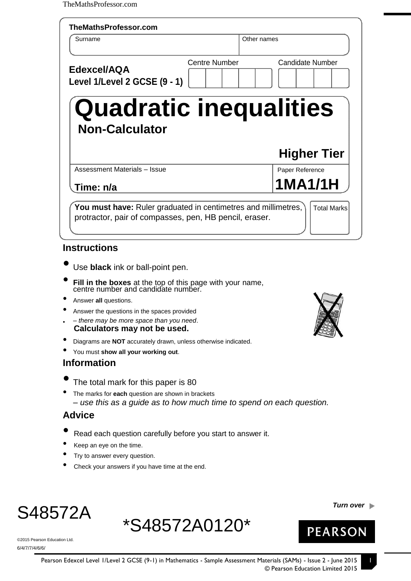**TheMathsProfessor.com**

|                                             |                               | Other names             |
|---------------------------------------------|-------------------------------|-------------------------|
| Edexcel/AQA<br>Level 1/Level 2 GCSE (9 - 1) | <b>Centre Number</b>          | <b>Candidate Number</b> |
| <b>Non-Calculator</b>                       | <b>Quadratic inequalities</b> |                         |
|                                             |                               |                         |
|                                             |                               | <b>Higher Tier</b>      |
| Assessment Materials - Issue                |                               | Paper Reference         |
| Time: n/a                                   |                               | 1MA1/1H                 |

## **Instructions**

- Use **black** ink or ball-point pen.
- **Fill in the boxes** at the top of this page with your name, centre number and candidate number.
- Answer **all** questions.
- Answer the questions in the spaces provided
- – *there may be more space than you need*. **Calculators may not be used.**
- Diagrams are **NOT** accurately drawn, unless otherwise indicated.
- You must **show all your working out**.

### **Information**

- The total mark for this paper is 80
- The marks for **each** question are shown in brackets *– use this as a guide as to how much time to spend on each question.*

# **Advice**

- Read each question carefully before you start to answer it.
- Keep an eye on the time.
- Try to answer every question.
- Check your answers if you have time at the end.



6/4/7/7/4/6/6/



*Turn over*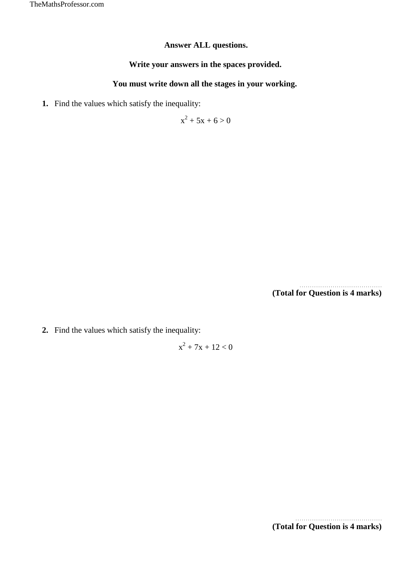#### **Answer ALL questions.**

#### **Write your answers in the spaces provided.**

### **You must write down all the stages in your working.**

**1.** Find the values which satisfy the inequality:

 $x^2 + 5x + 6 > 0$ 

. . . . . . . . . . . . . . . . . . . . . . . . . . . . . . . . . . . . . . . . **(Total for Question is 4 marks)**

**2.** Find the values which satisfy the inequality:

$$
x^2+7x+12<0
$$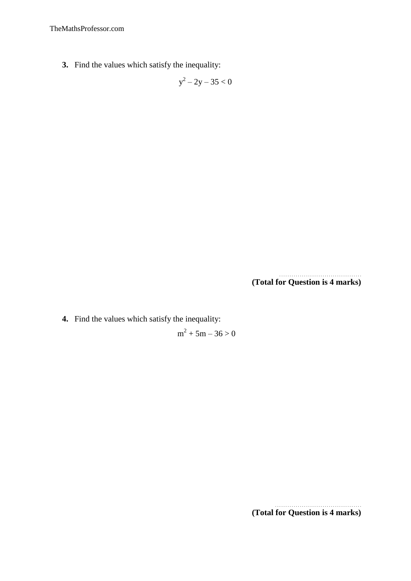TheMathsProfessor.com

**3.** Find the values which satisfy the inequality:

$$
y^2-2y-35<0
$$

. . . . . . . . . . . . . . . . . . . . . . . . . . . . . . . . . . . . . . . . **(Total for Question is 4 marks)**

**4.** Find the values which satisfy the inequality:

 $m^2 + 5m - 36 > 0$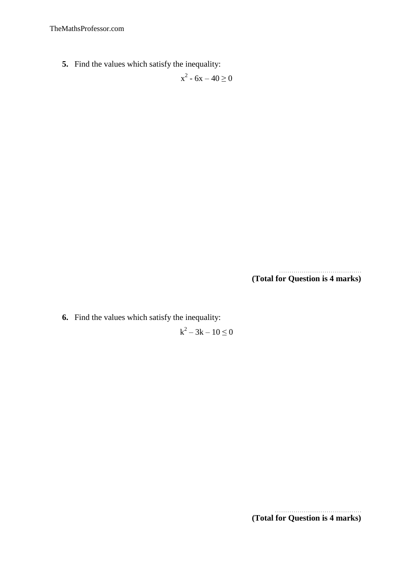**5.** Find the values which satisfy the inequality:

 $x^2 - 6x - 40 \ge 0$ 

. . . . . . . . . . . . . . . . . . . . . . . . . . . . . . . . . . . . . . . . **(Total for Question is 4 marks)**

**6.** Find the values which satisfy the inequality:

 $k^2 - 3k - 10 \leq 0$